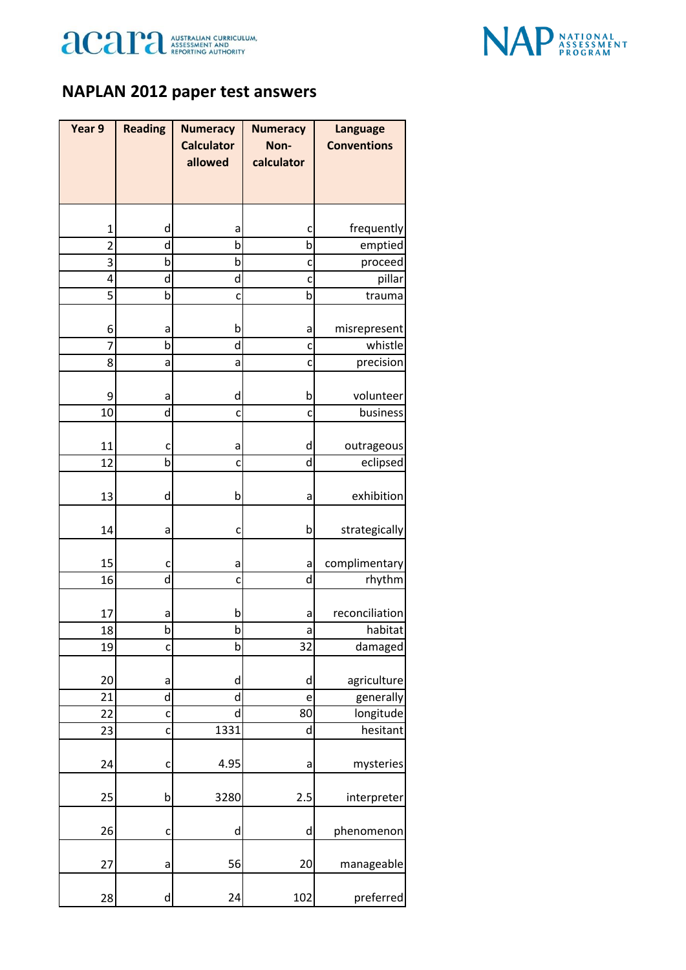



## **NAPLAN 2012 paper test answers**

| Year 9         | <b>Reading</b> | <b>Numeracy</b>   | <b>Numeracy</b> | <b>Language</b>    |
|----------------|----------------|-------------------|-----------------|--------------------|
|                |                | <b>Calculator</b> | Non-            | <b>Conventions</b> |
|                |                | allowed           | calculator      |                    |
|                |                |                   |                 |                    |
|                |                |                   |                 |                    |
| $\mathbf{1}$   | d              | а                 | c               | frequently         |
| $\overline{2}$ | d              | b                 | b               | emptied            |
| 3              | b              | b                 | $\mathsf{C}$    | proceed            |
| 4              | d              | d                 | C               | pillar             |
| 5              | b              | C                 | $\mathsf b$     | trauma             |
| 6              | a              | b                 | a               | misrepresent       |
| $\overline{7}$ | b              | d                 | c               | whistle            |
| 8              | a              | a                 | C               | precision          |
|                |                |                   |                 |                    |
| 9              | a              | d                 | b               | volunteer          |
| 10             | d              | C                 | c               | business           |
|                |                |                   |                 |                    |
| 11             | c              | а                 | d               | outrageous         |
| 12             | b              | C                 | d               | eclipsed           |
| 13             | d              | b                 | a               | exhibition         |
|                |                |                   |                 |                    |
| 14             | а              | c                 | b               | strategically      |
|                |                |                   |                 |                    |
| 15             | c              | a                 | a               | complimentary      |
| 16             | d              | C                 | d               | rhythm             |
|                |                |                   |                 |                    |
| 17             | a              | b                 | a               | reconciliation     |
| 18             | þ              | b                 | a               | habitat            |
| 19             | C              | b                 | 32              | damaged            |
| 20             | a              | d                 | d               | agriculture        |
| 21             | d              | d                 | e               | generally          |
| 22             | C              | d                 | 80              | longitude          |
| 23             | C              | 1331              | d               | hesitant           |
|                |                |                   |                 |                    |
| 24             | C              | 4.95              | a               | mysteries          |
| 25             | b              | 3280              | 2.5             | interpreter        |
|                |                |                   |                 |                    |
| 26             | C              | d                 | d               | phenomenon         |
| 27             | a              | 56                | 20              | manageable         |
|                |                |                   |                 |                    |
| 28             | d              | 24                | 102             | preferred          |